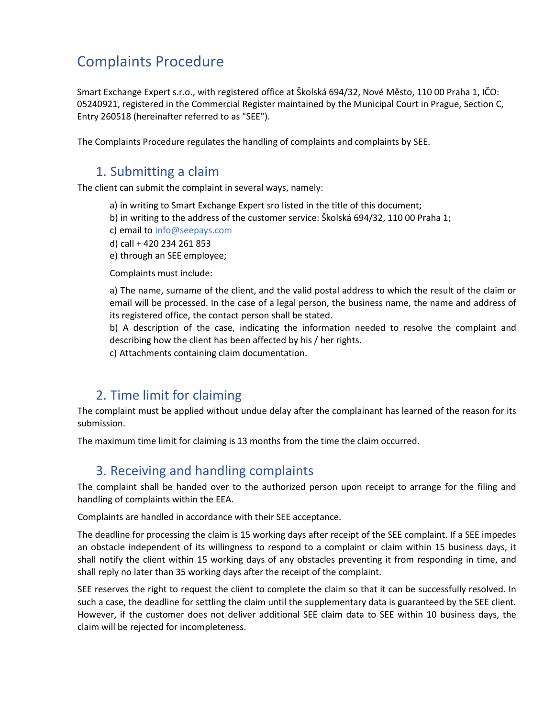# Complaints Procedure

Smart Exchange Expert s.r.o., with registered office at Školská 694/32, Nové Město, 110 00 Praha 1, IČO: 05240921, registered in the Commercial Register maintained by the Municipal Court in Prague, Section C, Entry 260518 (hereinafter referred to as "SEE").

The Complaints Procedure regulates the handling of complaints and complaints by SEE.

#### 1. Submitting a claim

The client can submit the complaint in several ways, namely:

- a) in writing to Smart Exchange Expert sro listed in the title of this document;
- b) in writing to the address of the customer service: Školská 694/32, 110 00 Praha 1;
- c) email to info@seepays.com
- d) call + 420 234 261 853
- e) through an SEE employee;

Complaints must include:

a) The name, surname of the client, and the valid postal address to which the result of the claim or email will be processed. In the case of a legal person, the business name, the name and address of its registered office, the contact person shall be stated.

b) A description of the case, indicating the information needed to resolve the complaint and describing how the client has been affected by his / her rights.

c) Attachments containing claim documentation.

## 2. Time limit for claiming

The complaint must be applied without undue delay after the complainant has learned of the reason for its submission.

The maximum time limit for claiming is 13 months from the time the claim occurred.

## 3. Receiving and handling complaints

The complaint shall be handed over to the authorized person upon receipt to arrange for the filing and handling of complaints within the EEA.

Complaints are handled in accordance with their SEE acceptance.

The deadline for processing the claim is 15 working days after receipt of the SEE complaint. If a SEE impedes an obstacle independent of its willingness to respond to a complaint or claim within 15 business days, it shall notify the client within 15 working days of any obstacles preventing it from responding in time, and shall reply no later than 35 working days after the receipt of the complaint.

SEE reserves the right to request the client to complete the claim so that it can be successfully resolved. In such a case, the deadline for settling the claim until the supplementary data is guaranteed by the SEE client. However, if the customer does not deliver additional SEE claim data to SEE within 10 business days, the claim will be rejected for incompleteness.